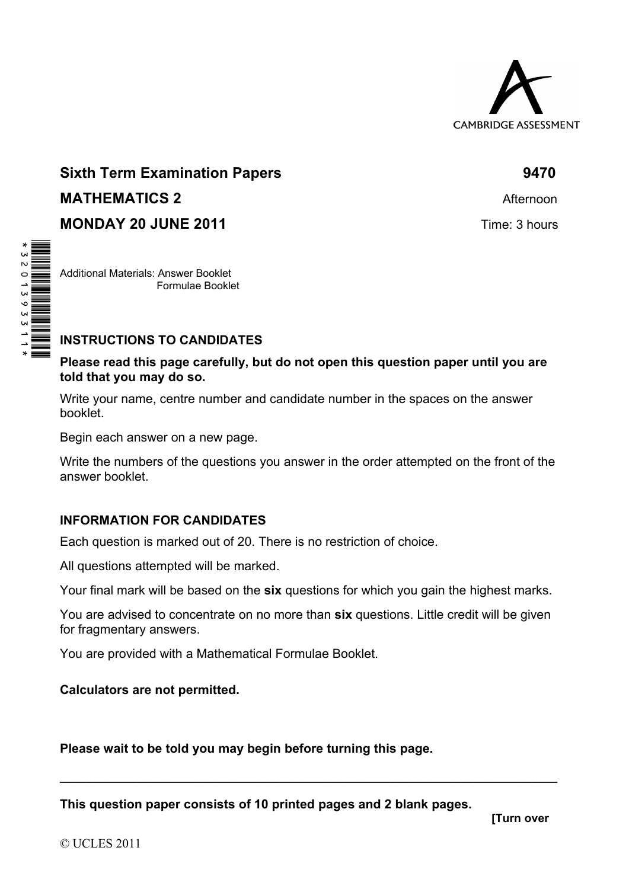

# **Sixth Term Examination Papers 6470 <b>9470 MATHEMATICS 2** Afternoon **MONDAY 20 JUNE 2011 Time: 3 hours**

Additional Materials: Answer Booklet Formulae Booklet

**INSTRUCTIONS TO CANDIDATES** 

## **Please read this page carefully, but do not open this question paper until you are told that you may do so.**

Write your name, centre number and candidate number in the spaces on the answer booklet.

Begin each answer on a new page.

Write the numbers of the questions you answer in the order attempted on the front of the answer booklet.

# **INFORMATION FOR CANDIDATES**

Each question is marked out of 20. There is no restriction of choice.

All questions attempted will be marked.

Your final mark will be based on the **six** questions for which you gain the highest marks.

You are advised to concentrate on no more than **six** questions. Little credit will be given for fragmentary answers.

**\_\_\_\_\_\_\_\_\_\_\_\_\_\_\_\_\_\_\_\_\_\_\_\_\_\_\_\_\_\_\_\_\_\_\_\_\_\_\_\_\_\_\_\_\_\_\_\_\_\_\_\_\_\_\_\_\_\_\_\_\_\_\_\_\_\_\_\_\_\_\_\_\_\_\_\_\_** 

You are provided with a Mathematical Formulae Booklet.

#### **Calculators are not permitted.**

**Please wait to be told you may begin before turning this page.** 

**This question paper consists of 10 printed pages and 2 blank pages.**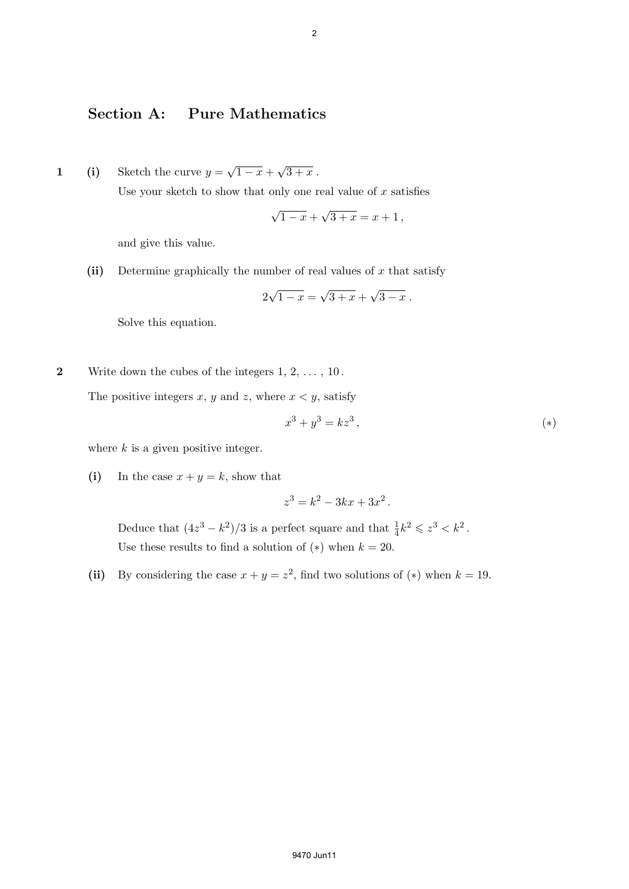# **Section A: Pure Mathematics**

**1** (i) Sketch the curve  $y = \sqrt{1-x} + \sqrt{3+x}$ . Use your sketch to show that only one real value of *x* satisfies

$$
\sqrt{1-x} + \sqrt{3+x} = x+1
$$

and give this value.

**(ii)** Determine graphically the number of real values of *x* that satisfy

$$
2\sqrt{1-x} = \sqrt{3+x} + \sqrt{3-x} \; .
$$

Solve this equation.

**2** Write down the cubes of the integers 1, 2, *. . .* , 10 . The positive integers  $x, y$  and  $z$ , where  $x \leq y$ , satisfy

$$
x^3 + y^3 = kz^3,
$$
 (\*)

where *k* is a given positive integer.

(i) In the case  $x + y = k$ , show that

$$
z^3 = k^2 - 3kx + 3x^2.
$$

Deduce that  $(4z^3 - k^2)/3$  is a perfect square and that  $\frac{1}{4}k^2 \leq z^3 < k^2$ . Use these results to find a solution of  $(*)$  when  $k = 20$ .

(ii) By considering the case  $x + y = z^2$ , find two solutions of (\*) when  $k = 19$ .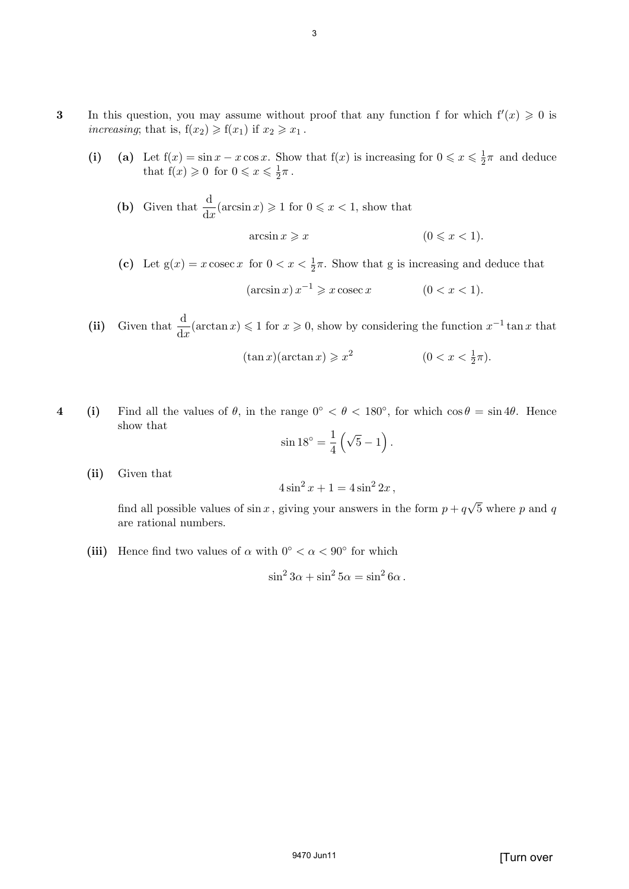- **3** In this question, you may assume without proof that any function f for which  $f'(x) \ge 0$  is *increasing*; that is,  $f(x_2) \geq f(x_1)$  if  $x_2 \geq x_1$ .
	- (i) (a) Let  $f(x) = \sin x x \cos x$ . Show that  $f(x)$  is increasing for  $0 \le x \le \frac{1}{2}$  $\frac{1}{2}\pi$  and deduce that  $f(x) \geqslant 0$  for  $0 \leqslant x \leqslant \frac{1}{2}$  $rac{1}{2}\pi$ .

(b) Given that 
$$
\frac{d}{dx}(\arcsin x) \ge 1
$$
 for  $0 \le x < 1$ , show that

$$
\arcsin x \geqslant x \tag{0 \leqslant x < 1}.
$$

(c) Let  $g(x) = x \csc x$  for  $0 < x < \frac{1}{2}\pi$ . Show that g is increasing and deduce that

$$
(\arcsin x) x^{-1} \geq x \csc x \qquad (0 < x < 1).
$$

(ii) Given that  $\frac{d}{dx}(\arctan x) \leq 1$  for  $x \geq 0$ , show by considering the function  $x^{-1} \tan x$  that

$$
(\tan x)(\arctan x) \geqslant x^2 \qquad \qquad (0 < x < \frac{1}{2}\pi).
$$

**4** (i) Find all the values of  $\theta$ , in the range  $0^{\circ} < \theta < 180^{\circ}$ , for which  $\cos \theta = \sin 4\theta$ . Hence show that

$$
\sin 18^\circ = \frac{1}{4} \left( \sqrt{5} - 1 \right).
$$

**(ii)** Given that

$$
4\sin^2 x + 1 = 4\sin^2 2x,
$$

find all possible values of sin *x*, giving your answers in the form  $p + q\sqrt{5}$  where *p* and *q* are rational numbers.

(iii) Hence find two values of  $\alpha$  with  $0^{\circ} < \alpha < 90^{\circ}$  for which

$$
\sin^2 3\alpha + \sin^2 5\alpha = \sin^2 6\alpha.
$$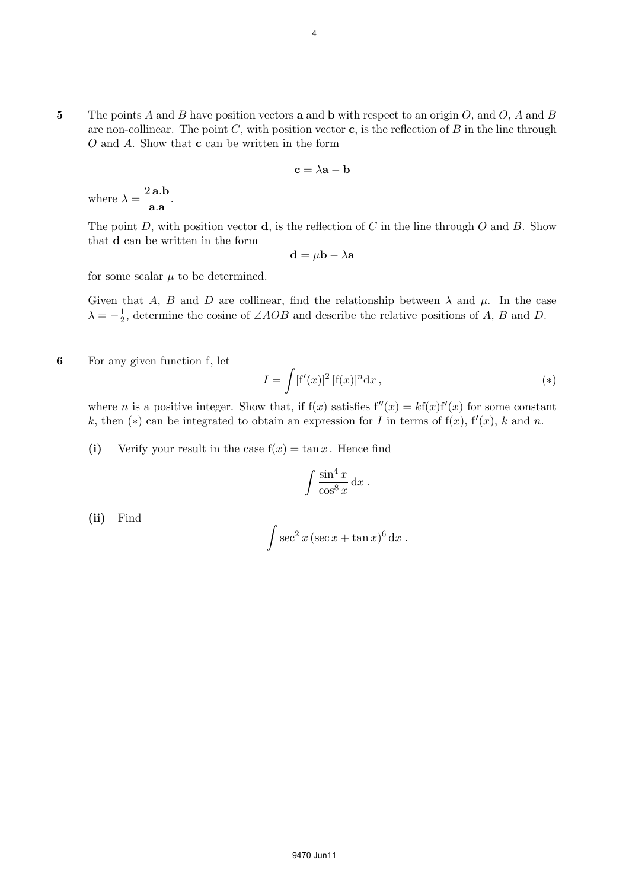**5** The points *A* and *B* have position vectors **a** and **b** with respect to an origin *O*, and *O*, *A* and *B* are non-collinear. The point *C*, with position vector **c**, is the reflection of *B* in the line through *O* and *A*. Show that **c** can be written in the form

$$
\mathbf{c} = \lambda \mathbf{a} - \mathbf{b}
$$

where  $\lambda = \frac{2 \mathbf{a} \cdot \mathbf{b}}{2 \mathbf{b}}$  $\frac{a \cdot b}{a \cdot a}$ .

The point *D*, with position vector **d**, is the reflection of *C* in the line through *O* and *B*. Show that **d** can be written in the form

$$
\mathbf{d} = \mu \mathbf{b} - \lambda \mathbf{a}
$$

for some scalar  $\mu$  to be determined.

Given that *A*, *B* and *D* are collinear, find the relationship between  $\lambda$  and  $\mu$ . In the case  $\lambda = -\frac{1}{2}$ 2 , determine the cosine of ∠*AOB* and describe the relative positions of *A*, *B* and *D*.

**6** For any given function f, let

$$
I = \int [f'(x)]^2 [f(x)]^n dx , \qquad (*)
$$

where *n* is a positive integer. Show that, if  $f(x)$  satisfies  $f''(x) = kf(x)f'(x)$  for some constant *k*, then (\*) can be integrated to obtain an expression for *I* in terms of  $f(x)$ ,  $f'(x)$ , *k* and *n*.

(i) Verify your result in the case  $f(x) = \tan x$ . Hence find

$$
\int \frac{\sin^4 x}{\cos^8 x} \, \mathrm{d}x \; .
$$

**(ii)** Find

$$
\int \sec^2 x (\sec x + \tan x)^6 dx.
$$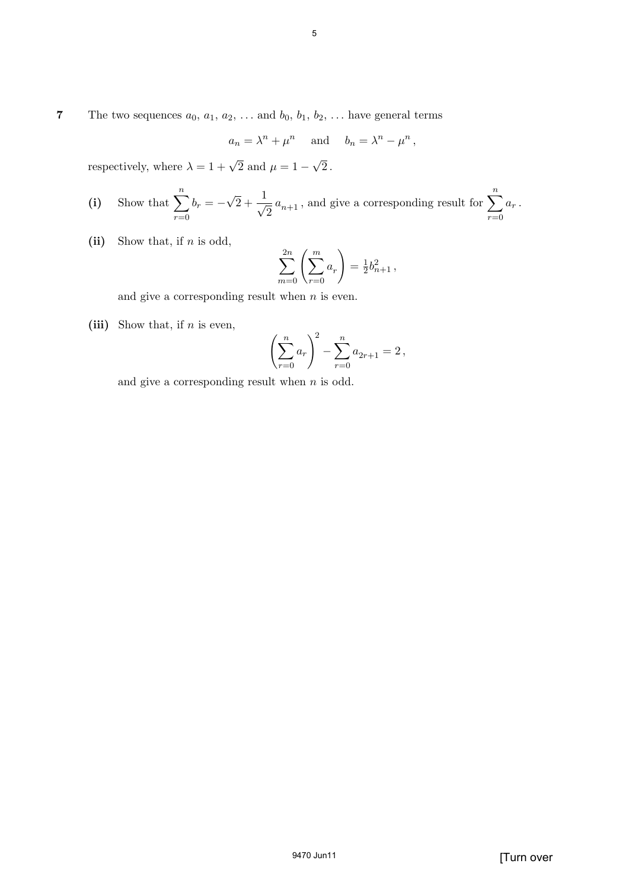**7** The two sequences  $a_0, a_1, a_2, \ldots$  and  $b_0, b_1, b_2, \ldots$  have general terms

$$
a_n = \lambda^n + \mu^n
$$
 and  $b_n = \lambda^n - \mu^n$ ,

respectively, where  $\lambda = 1 + \sqrt{2}$  and  $\mu = 1 - \sqrt{2}$ .

(i) Show that 
$$
\sum_{r=0}^{n} b_r = -\sqrt{2} + \frac{1}{\sqrt{2}} a_{n+1}
$$
, and give a corresponding result for  $\sum_{r=0}^{n} a_r$ .

**(ii)** Show that, if *n* is odd,

$$
\sum_{m=0}^{2n} \left( \sum_{r=0}^{m} a_r \right) = \frac{1}{2} b_{n+1}^2 ,
$$

and give a corresponding result when *n* is even.

**(iii)** Show that, if *n* is even,

$$
\left(\sum_{r=0}^{n} a_r\right)^2 - \sum_{r=0}^{n} a_{2r+1} = 2,
$$

and give a corresponding result when *n* is odd.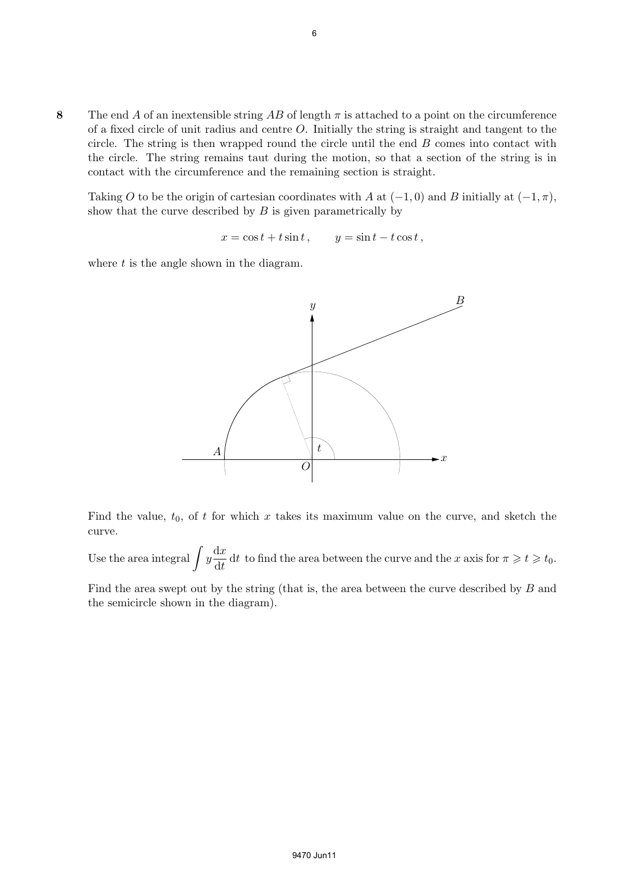**8** The end *A* of an inextensible string *AB* of length *π* is attached to a point on the circumference of a fixed circle of unit radius and centre *O*. Initially the string is straight and tangent to the circle. The string is then wrapped round the circle until the end *B* comes into contact with the circle. The string remains taut during the motion, so that a section of the string is in contact with the circumference and the remaining section is straight.

Taking *O* to be the origin of cartesian coordinates with *A* at  $(-1,0)$  and *B* initially at  $(-1,\pi)$ , show that the curve described by *B* is given parametrically by

$$
x = \cos t + t \sin t, \qquad y = \sin t - t \cos t,
$$

where *t* is the angle shown in the diagram.



Find the value,  $t_0$ , of  $t$  for which  $x$  takes its maximum value on the curve, and sketch the curve.

Use the area integral  $\int y \frac{\mathrm{d}x}{\mathrm{d}x}$  $\frac{d\mathbf{x}}{dt}$  d*t* to find the area between the curve and the *x* axis for  $\pi \geq t \geq t_0$ .

Find the area swept out by the string (that is, the area between the curve described by *B* and the semicircle shown in the diagram).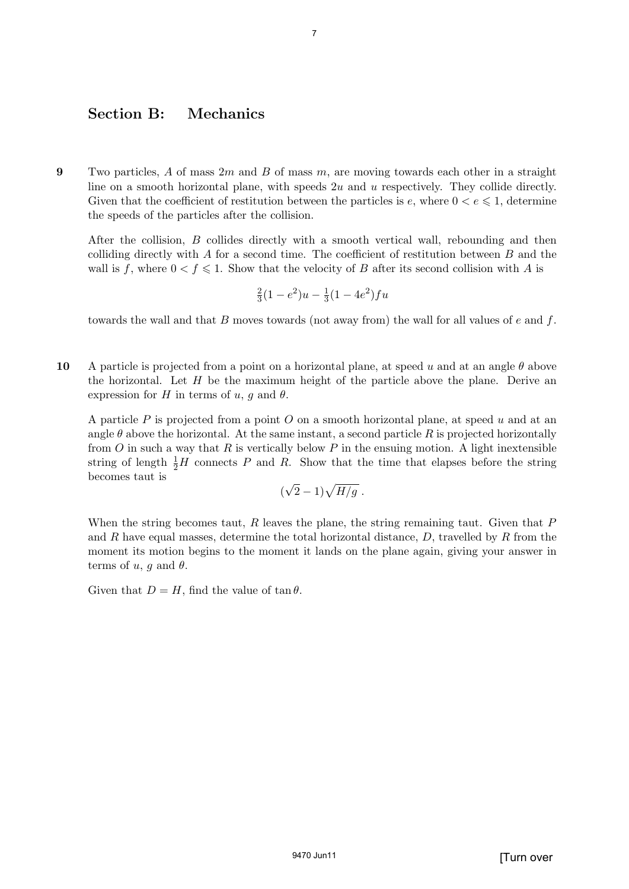# **Section B: Mechanics**

**9** Two particles, *A* of mass 2*m* and *B* of mass *m*, are moving towards each other in a straight line on a smooth horizontal plane, with speeds 2*u* and *u* respectively. They collide directly. Given that the coefficient of restitution between the particles is  $e$ , where  $0 < e \leq 1$ , determine the speeds of the particles after the collision.

After the collision, *B* collides directly with a smooth vertical wall, rebounding and then colliding directly with *A* for a second time. The coefficient of restitution between *B* and the wall is f, where  $0 < f \leq 1$ . Show that the velocity of B after its second collision with A is

$$
\frac{2}{3}(1-e^2)u - \frac{1}{3}(1-4e^2)fu
$$

towards the wall and that *B* moves towards (not away from) the wall for all values of *e* and *f*.

**10** A particle is projected from a point on a horizontal plane, at speed *u* and at an angle *θ* above the horizontal. Let *H* be the maximum height of the particle above the plane. Derive an expression for  $H$  in terms of  $u, g$  and  $\theta$ .

A particle *P* is projected from a point *O* on a smooth horizontal plane, at speed *u* and at an angle  $\theta$  above the horizontal. At the same instant, a second particle R is projected horizontally from *O* in such a way that *R* is vertically below *P* in the ensuing motion. A light inextensible string of length  $\frac{1}{2}H$  connects *P* and *R*. Show that the time that elapses before the string becomes taut is

$$
(\sqrt{2}-1)\sqrt{H/g}.
$$

When the string becomes taut, *R* leaves the plane, the string remaining taut. Given that *P* and *R* have equal masses, determine the total horizontal distance, *D*, travelled by *R* from the moment its motion begins to the moment it lands on the plane again, giving your answer in terms of  $u, g$  and  $\theta$ .

Given that  $D = H$ , find the value of  $\tan \theta$ .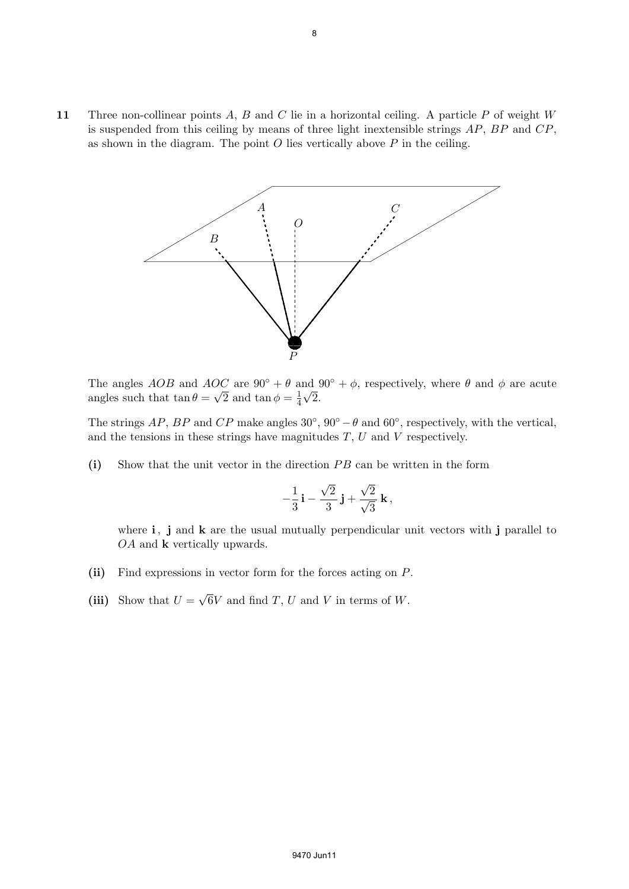**11** Three non-collinear points *A*, *B* and *C* lie in a horizontal ceiling. A particle *P* of weight *W* is suspended from this ceiling by means of three light inextensible strings *AP*, *BP* and *CP*, as shown in the diagram. The point  $O$  lies vertically above  $P$  in the ceiling.



The angles *AOB* and *AOC* are  $90^\circ + \theta$  and  $90^\circ + \phi$ , respectively, where  $\theta$  and  $\phi$  are acute angles such that  $\tan \theta = \sqrt{2}$  and  $\tan \phi = \frac{1}{4}$ 4 *√* 2.

The strings  $AP$ ,  $BP$  and  $CP$  make angles  $30^{\circ}$ ,  $90^{\circ} - \theta$  and  $60^{\circ}$ , respectively, with the vertical, and the tensions in these strings have magnitudes *T*, *U* and *V* respectively.

**(i)** Show that the unit vector in the direction PB can be written in the form

$$
-\frac{1}{3}\mathbf{i}-\frac{\sqrt{2}}{3}\mathbf{j}+\frac{\sqrt{2}}{\sqrt{3}}\mathbf{k},
$$

where **i** , **j** and **k** are the usual mutually perpendicular unit vectors with **j** parallel to *OA* and **k** vertically upwards.

- **(ii)** Find expressions in vector form for the forces acting on *P*.
- (iii) Show that  $U = \sqrt{6}V$  and find *T*, *U* and *V* in terms of *W*.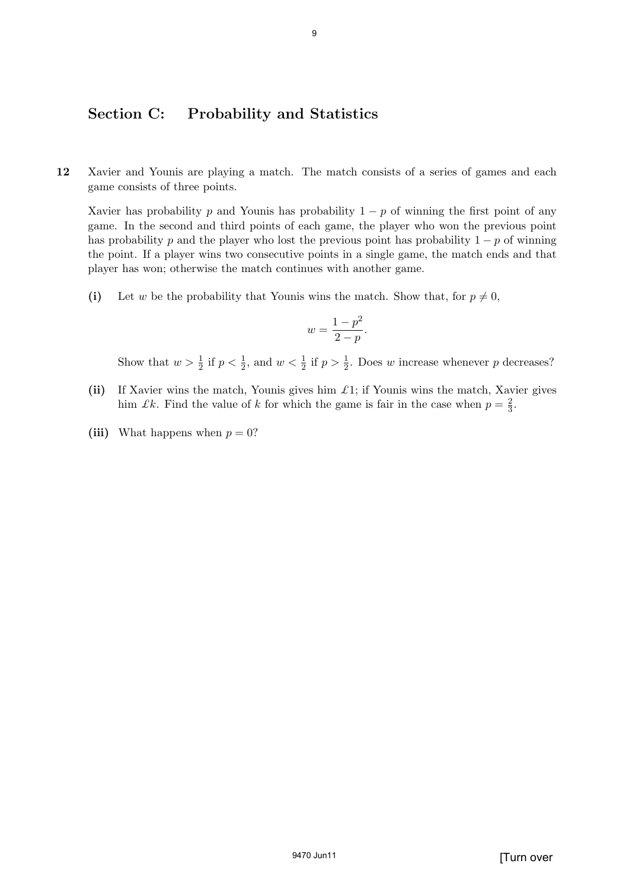# **Section C: Probability and Statistics**

**12** Xavier and Younis are playing a match. The match consists of a series of games and each game consists of three points.

Xavier has probability *p* and Younis has probability  $1 - p$  of winning the first point of any game. In the second and third points of each game, the player who won the previous point has probability *p* and the player who lost the previous point has probability 1 *− p* of winning the point. If a player wins two consecutive points in a single game, the match ends and that player has won; otherwise the match continues with another game.

(i) Let *w* be the probability that Younis wins the match. Show that, for  $p \neq 0$ ,

$$
w = \frac{1 - p^2}{2 - p}.
$$

Show that  $w > \frac{1}{2}$  if  $p < \frac{1}{2}$ , and  $w < \frac{1}{2}$  if  $p > \frac{1}{2}$ . Does *w* increase whenever *p* decreases?

- **(ii)** If Xavier wins the match, Younis gives him *£*1; if Younis wins the match, Xavier gives him *£k*. Find the value of *k* for which the game is fair in the case when  $p = \frac{2}{3}$  $\frac{2}{3}$ .
- (iii) What happens when  $p = 0$ ?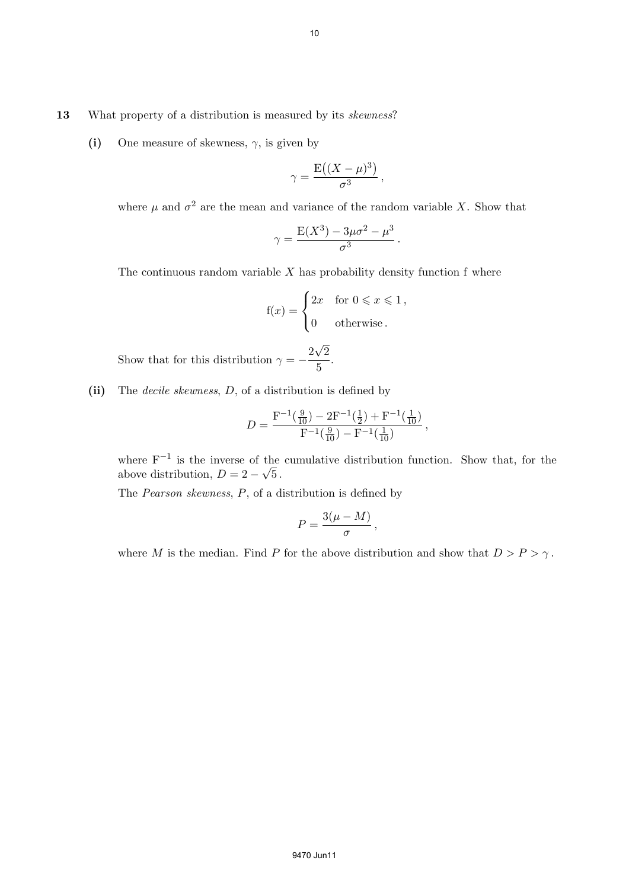#### **13** What property of a distribution is measured by its *skewness*?

**(i)** One measure of skewness, *γ*, is given by

$$
\gamma = \frac{\mathrm{E}\left((X-\mu)^3\right)}{\sigma^3} \,,
$$

where  $\mu$  and  $\sigma^2$  are the mean and variance of the random variable *X*. Show that

$$
\gamma = \frac{E(X^3) - 3\mu\sigma^2 - \mu^3}{\sigma^3}.
$$

The continuous random variable *X* has probability density function f where

$$
f(x) = \begin{cases} 2x & \text{for } 0 \leq x \leq 1, \\ 0 & \text{otherwise.} \end{cases}
$$

Show that for this distribution  $\gamma = -\frac{2\sqrt{2}}{5}$  $\frac{6}{5}$ .

**(ii)** The *decile skewness*, *D*, of a distribution is defined by

$$
D = \frac{F^{-1}(\frac{9}{10}) - 2F^{-1}(\frac{1}{2}) + F^{-1}(\frac{1}{10})}{F^{-1}(\frac{9}{10}) - F^{-1}(\frac{1}{10})},
$$

where F*−*<sup>1</sup> is the inverse of the cumulative distribution function. Show that, for the above distribution,  $D = 2 - \sqrt{5}$ .

The *Pearson skewness*, *P*, of a distribution is defined by

$$
P=\frac{3(\mu-M)}{\sigma}\,,
$$

where *M* is the median. Find *P* for the above distribution and show that  $D > P > \gamma$ .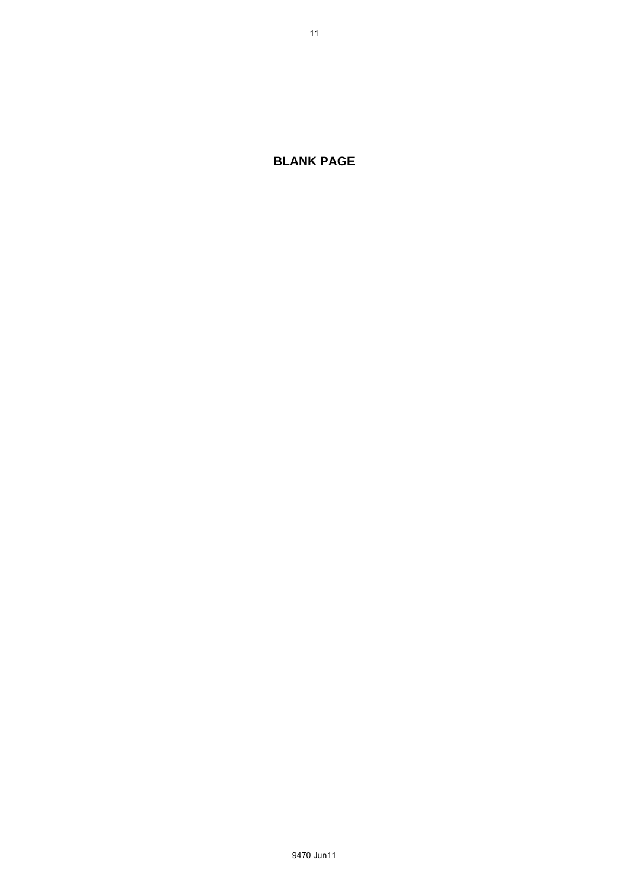**BLANK PAGE** 

11